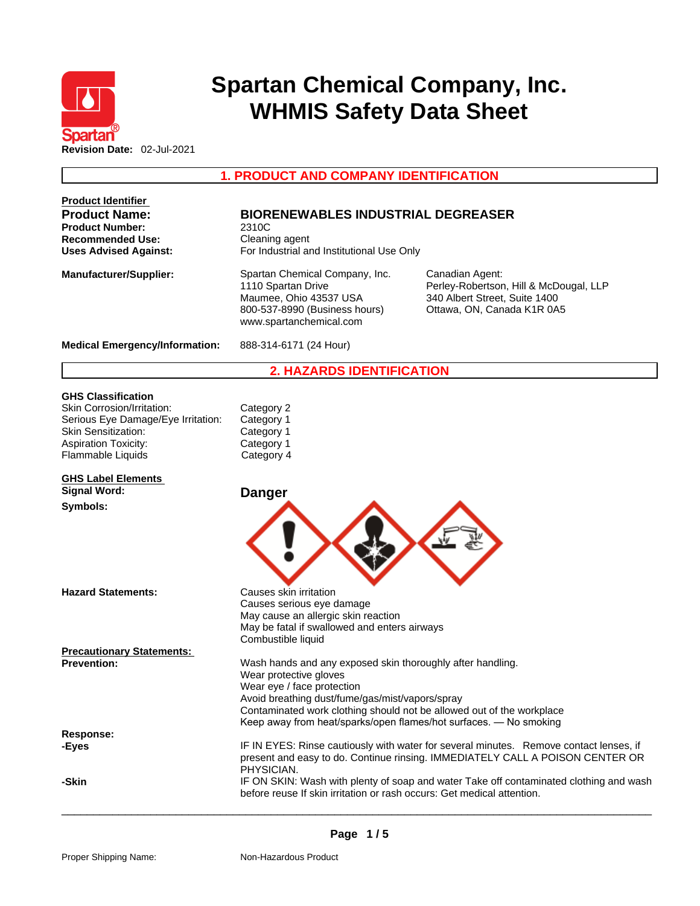

# **Spartan Chemical Company, Inc. WHMIS Safety Data Sheet**

**1. PRODUCT AND COMPANY IDENTIFICATION** 

| <b>Product Identifier</b>                      |                                                                                                                                                                                                                                                                                                                     |                                                                                                                          |  |  |
|------------------------------------------------|---------------------------------------------------------------------------------------------------------------------------------------------------------------------------------------------------------------------------------------------------------------------------------------------------------------------|--------------------------------------------------------------------------------------------------------------------------|--|--|
| <b>Product Name:</b><br><b>Product Number:</b> | <b>BIORENEWABLES INDUSTRIAL DEGREASER</b><br>2310C                                                                                                                                                                                                                                                                  |                                                                                                                          |  |  |
| <b>Recommended Use:</b>                        | Cleaning agent                                                                                                                                                                                                                                                                                                      |                                                                                                                          |  |  |
| <b>Uses Advised Against:</b>                   | For Industrial and Institutional Use Only                                                                                                                                                                                                                                                                           |                                                                                                                          |  |  |
| <b>Manufacturer/Supplier:</b>                  | Spartan Chemical Company, Inc.<br>1110 Spartan Drive<br>Maumee, Ohio 43537 USA<br>800-537-8990 (Business hours)<br>www.spartanchemical.com                                                                                                                                                                          | Canadian Agent:<br>Perley-Robertson, Hill & McDougal, LLP<br>340 Albert Street, Suite 1400<br>Ottawa, ON, Canada K1R 0A5 |  |  |
| <b>Medical Emergency/Information:</b>          | 888-314-6171 (24 Hour)                                                                                                                                                                                                                                                                                              |                                                                                                                          |  |  |
|                                                | <b>2. HAZARDS IDENTIFICATION</b>                                                                                                                                                                                                                                                                                    |                                                                                                                          |  |  |
| <b>GHS Classification</b>                      |                                                                                                                                                                                                                                                                                                                     |                                                                                                                          |  |  |
| Skin Corrosion/Irritation:                     | Category 2                                                                                                                                                                                                                                                                                                          |                                                                                                                          |  |  |
| Serious Eye Damage/Eye Irritation:             | Category 1                                                                                                                                                                                                                                                                                                          |                                                                                                                          |  |  |
| <b>Skin Sensitization:</b>                     | Category 1                                                                                                                                                                                                                                                                                                          |                                                                                                                          |  |  |
| <b>Aspiration Toxicity:</b>                    | Category 1                                                                                                                                                                                                                                                                                                          |                                                                                                                          |  |  |
| Flammable Liquids                              | Category 4                                                                                                                                                                                                                                                                                                          |                                                                                                                          |  |  |
| <b>GHS Label Elements</b>                      |                                                                                                                                                                                                                                                                                                                     |                                                                                                                          |  |  |
| <b>Signal Word:</b><br>Symbols:                | <b>Danger</b>                                                                                                                                                                                                                                                                                                       |                                                                                                                          |  |  |
| <b>Hazard Statements:</b>                      | Causes skin irritation                                                                                                                                                                                                                                                                                              |                                                                                                                          |  |  |
|                                                | Causes serious eye damage                                                                                                                                                                                                                                                                                           |                                                                                                                          |  |  |
|                                                | May cause an allergic skin reaction<br>May be fatal if swallowed and enters airways<br>Combustible liquid                                                                                                                                                                                                           |                                                                                                                          |  |  |
| <b>Precautionary Statements:</b>               |                                                                                                                                                                                                                                                                                                                     |                                                                                                                          |  |  |
| <b>Prevention:</b>                             | Wash hands and any exposed skin thoroughly after handling.<br>Wear protective gloves<br>Wear eye / face protection<br>Avoid breathing dust/fume/gas/mist/vapors/spray<br>Contaminated work clothing should not be allowed out of the workplace<br>Keep away from heat/sparks/open flames/hot surfaces. - No smoking |                                                                                                                          |  |  |
| <b>Response:</b>                               |                                                                                                                                                                                                                                                                                                                     |                                                                                                                          |  |  |
| -Eyes                                          | IF IN EYES: Rinse cautiously with water for several minutes. Remove contact lenses, if<br>present and easy to do. Continue rinsing. IMMEDIATELY CALL A POISON CENTER OR<br>PHYSICIAN.                                                                                                                               |                                                                                                                          |  |  |
| -Skin                                          | before reuse If skin irritation or rash occurs: Get medical attention.                                                                                                                                                                                                                                              | IF ON SKIN: Wash with plenty of soap and water Take off contaminated clothing and wash                                   |  |  |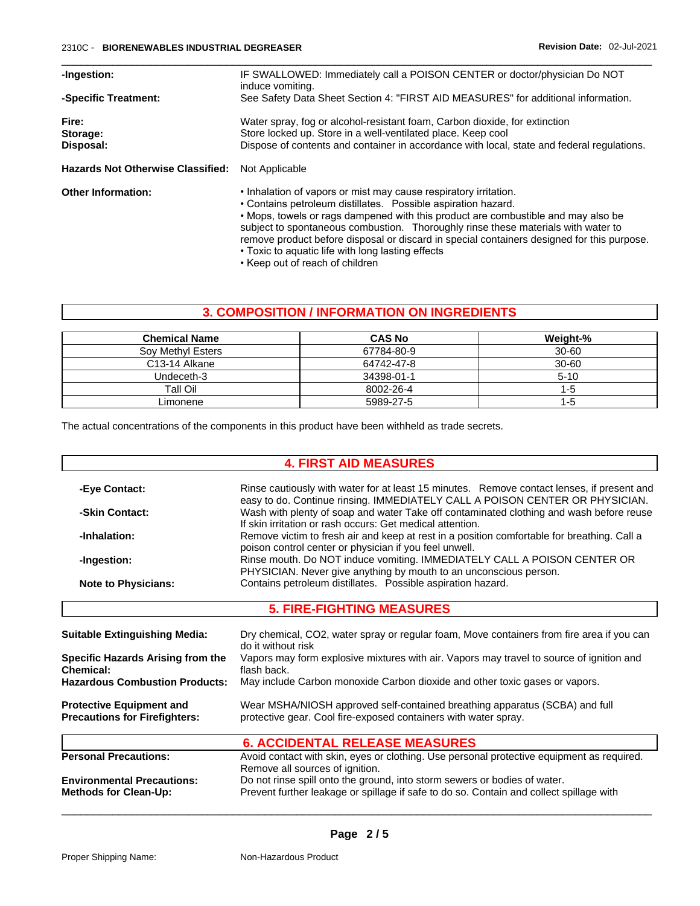| -Ingestion:                                                | IF SWALLOWED: Immediately call a POISON CENTER or doctor/physician Do NOT<br>induce vomiting.                                                                                                                                                                                                                                                                                                                                                                  |  |  |
|------------------------------------------------------------|----------------------------------------------------------------------------------------------------------------------------------------------------------------------------------------------------------------------------------------------------------------------------------------------------------------------------------------------------------------------------------------------------------------------------------------------------------------|--|--|
| -Specific Treatment:                                       | See Safety Data Sheet Section 4: "FIRST AID MEASURES" for additional information.                                                                                                                                                                                                                                                                                                                                                                              |  |  |
| Fire:<br>Storage:<br>Disposal:                             | Water spray, fog or alcohol-resistant foam, Carbon dioxide, for extinction<br>Store locked up. Store in a well-ventilated place. Keep cool<br>Dispose of contents and container in accordance with local, state and federal regulations.                                                                                                                                                                                                                       |  |  |
| Not Applicable<br><b>Hazards Not Otherwise Classified:</b> |                                                                                                                                                                                                                                                                                                                                                                                                                                                                |  |  |
| <b>Other Information:</b>                                  | . Inhalation of vapors or mist may cause respiratory irritation.<br>• Contains petroleum distillates. Possible aspiration hazard.<br>• Mops, towels or rags dampened with this product are combustible and may also be<br>subject to spontaneous combustion. Thoroughly rinse these materials with water to<br>remove product before disposal or discard in special containers designed for this purpose.<br>• Toxic to aquatic life with long lasting effects |  |  |

#### • Keep out of reach of children

# **3. COMPOSITION / INFORMATION ON INGREDIENTS**

| <b>Chemical Name</b>       | <b>CAS No</b> | Weight-%  |
|----------------------------|---------------|-----------|
| Soy Methyl Esters          | 67784-80-9    | $30 - 60$ |
| C <sub>13</sub> -14 Alkane | 64742-47-8    | 30-60     |
| Undeceth-3                 | 34398-01-1    | $5 - 10$  |
| Tall Oil                   | 8002-26-4     | 1-5       |
| Limonene                   | 5989-27-5     | 1-5       |

The actual concentrations of the components in this product have been withheld as trade secrets.

## **4. FIRST AID MEASURES**

| Rinse cautiously with water for at least 15 minutes. Remove contact lenses, if present and<br>-Eye Contact:<br>easy to do. Continue rinsing. IMMEDIATELY CALL A POISON CENTER OR PHYSICIAN. |                                                                                                                                                                                                                                                                                                                                                                                                                                                                                                                               |  |  |
|---------------------------------------------------------------------------------------------------------------------------------------------------------------------------------------------|-------------------------------------------------------------------------------------------------------------------------------------------------------------------------------------------------------------------------------------------------------------------------------------------------------------------------------------------------------------------------------------------------------------------------------------------------------------------------------------------------------------------------------|--|--|
| -Skin Contact:                                                                                                                                                                              | Wash with plenty of soap and water Take off contaminated clothing and wash before reuse<br>If skin irritation or rash occurs: Get medical attention.<br>Remove victim to fresh air and keep at rest in a position comfortable for breathing. Call a<br>poison control center or physician if you feel unwell.<br>Rinse mouth. Do NOT induce vomiting. IMMEDIATELY CALL A POISON CENTER OR<br>PHYSICIAN. Never give anything by mouth to an unconscious person.<br>Contains petroleum distillates. Possible aspiration hazard. |  |  |
| -Inhalation:                                                                                                                                                                                |                                                                                                                                                                                                                                                                                                                                                                                                                                                                                                                               |  |  |
| -Ingestion:                                                                                                                                                                                 |                                                                                                                                                                                                                                                                                                                                                                                                                                                                                                                               |  |  |
| <b>Note to Physicians:</b>                                                                                                                                                                  |                                                                                                                                                                                                                                                                                                                                                                                                                                                                                                                               |  |  |
|                                                                                                                                                                                             | <b>5. FIRE-FIGHTING MEASURES</b>                                                                                                                                                                                                                                                                                                                                                                                                                                                                                              |  |  |
| Dry chemical, CO2, water spray or regular foam, Move containers from fire area if you can<br><b>Suitable Extinguishing Media:</b><br>do it without risk                                     |                                                                                                                                                                                                                                                                                                                                                                                                                                                                                                                               |  |  |
| <b>Specific Hazards Arising from the</b><br><b>Chemical:</b>                                                                                                                                | Vapors may form explosive mixtures with air. Vapors may travel to source of ignition and<br>flash back.                                                                                                                                                                                                                                                                                                                                                                                                                       |  |  |
| <b>Hazardous Combustion Products:</b><br>May include Carbon monoxide Carbon dioxide and other toxic gases or vapors.                                                                        |                                                                                                                                                                                                                                                                                                                                                                                                                                                                                                                               |  |  |
| <b>Protective Equipment and</b><br><b>Precautions for Firefighters:</b>                                                                                                                     | Wear MSHA/NIOSH approved self-contained breathing apparatus (SCBA) and full<br>protective gear. Cool fire-exposed containers with water spray.                                                                                                                                                                                                                                                                                                                                                                                |  |  |
|                                                                                                                                                                                             | <b>6. ACCIDENTAL RELEASE MEASURES</b>                                                                                                                                                                                                                                                                                                                                                                                                                                                                                         |  |  |
| <b>Personal Precautions:</b>                                                                                                                                                                | Avoid contact with skin, eyes or clothing. Use personal protective equipment as required.<br>Remove all sources of ignition.                                                                                                                                                                                                                                                                                                                                                                                                  |  |  |
| <b>Environmental Precautions:</b>                                                                                                                                                           | Do not rinse spill onto the ground, into storm sewers or bodies of water.                                                                                                                                                                                                                                                                                                                                                                                                                                                     |  |  |
| Prevent further leakage or spillage if safe to do so. Contain and collect spillage with<br><b>Methods for Clean-Up:</b>                                                                     |                                                                                                                                                                                                                                                                                                                                                                                                                                                                                                                               |  |  |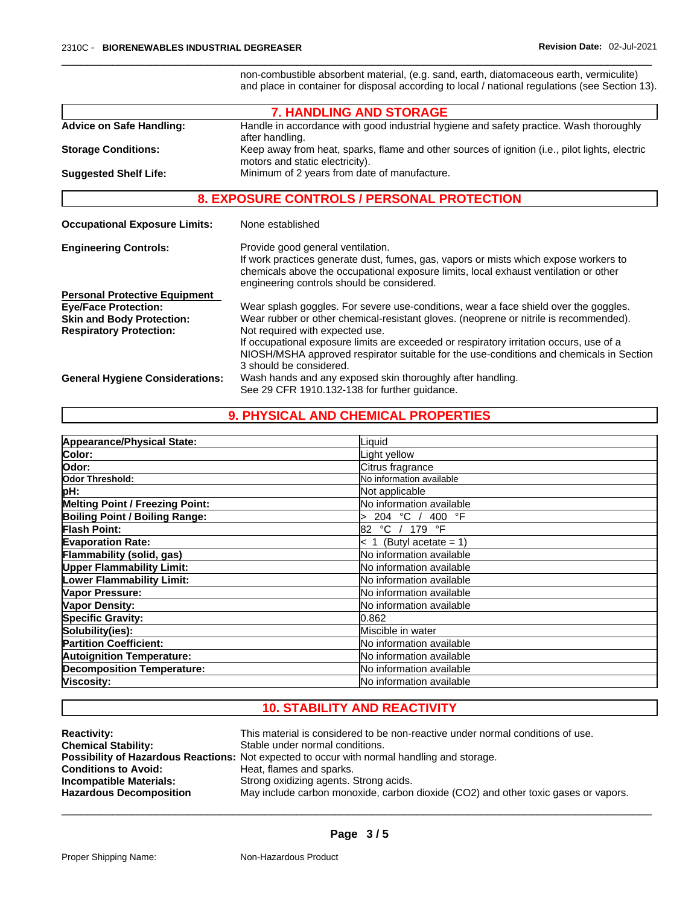non-combustible absorbent material, (e.g. sand, earth, diatomaceous earth, vermiculite) and place in container for disposal according to local / national regulations (see Section 13).

|                                                                    | <b>7. HANDLING AND STORAGE</b>                                                                                                                                                                                                                                  |
|--------------------------------------------------------------------|-----------------------------------------------------------------------------------------------------------------------------------------------------------------------------------------------------------------------------------------------------------------|
| <b>Advice on Safe Handling:</b>                                    | Handle in accordance with good industrial hygiene and safety practice. Wash thoroughly<br>after handling.                                                                                                                                                       |
| <b>Storage Conditions:</b>                                         | Keep away from heat, sparks, flame and other sources of ignition (i.e., pilot lights, electric<br>motors and static electricity).                                                                                                                               |
| <b>Suggested Shelf Life:</b>                                       | Minimum of 2 years from date of manufacture.                                                                                                                                                                                                                    |
|                                                                    | <b>8. EXPOSURE CONTROLS / PERSONAL PROTECTION</b>                                                                                                                                                                                                               |
| <b>Occupational Exposure Limits:</b>                               | None established                                                                                                                                                                                                                                                |
| <b>Engineering Controls:</b>                                       | Provide good general ventilation.<br>If work practices generate dust, fumes, gas, vapors or mists which expose workers to<br>chemicals above the occupational exposure limits, local exhaust ventilation or other<br>engineering controls should be considered. |
| <b>Personal Protective Equipment</b>                               |                                                                                                                                                                                                                                                                 |
| <b>Eye/Face Protection:</b>                                        | Wear splash goggles. For severe use-conditions, wear a face shield over the goggles.                                                                                                                                                                            |
| <b>Skin and Body Protection:</b><br><b>Respiratory Protection:</b> | Wear rubber or other chemical-resistant gloves. (neoprene or nitrile is recommended).<br>Not required with expected use.                                                                                                                                        |
|                                                                    | If occupational exposure limits are exceeded or respiratory irritation occurs, use of a<br>NIOSH/MSHA approved respirator suitable for the use-conditions and chemicals in Section<br>3 should be considered.                                                   |
| <b>General Hygiene Considerations:</b>                             | Wash hands and any exposed skin thoroughly after handling.                                                                                                                                                                                                      |
|                                                                    | See 29 CFR 1910.132-138 for further quidance.                                                                                                                                                                                                                   |

# **9. PHYSICAL AND CHEMICAL PROPERTIES**

| Appearance/Physical State:             | Liquid                          |
|----------------------------------------|---------------------------------|
| Color:                                 | Light yellow                    |
| lOdor:                                 | Citrus fragrance                |
| Odor Threshold:                        | No information available        |
| pH:                                    | Not applicable                  |
| <b>Melting Point / Freezing Point:</b> | No information available        |
| Boiling Point / Boiling Range:         | 204 °C /<br>400 °F              |
| <b>Flash Point:</b>                    | °C / 179 °F<br>82               |
| <b>Evaporation Rate:</b>               | $< 1$ (Butyl acetate = 1)       |
| Flammability (solid, gas)              | No information available        |
| <b>Upper Flammability Limit:</b>       | No information available        |
| Lower Flammability Limit:              | No information available        |
| Vapor Pressure:                        | No information available        |
| Vapor Density:                         | No information available        |
| <b>Specific Gravity:</b>               | 0.862                           |
| Solubility(ies):                       | Miscible in water               |
| <b>Partition Coefficient:</b>          | No information available        |
| <b>Autoignition Temperature:</b>       | <b>No information available</b> |
| <b>Decomposition Temperature:</b>      | <b>No information available</b> |
| Viscosity:                             | No information available        |

# **10. STABILITY AND REACTIVITY**

| <b>Reactivity:</b>             | This material is considered to be non-reactive under normal conditions of use.                     |
|--------------------------------|----------------------------------------------------------------------------------------------------|
| <b>Chemical Stability:</b>     | Stable under normal conditions.                                                                    |
|                                | <b>Possibility of Hazardous Reactions:</b> Not expected to occur with normal handling and storage. |
| <b>Conditions to Avoid:</b>    | Heat, flames and sparks.                                                                           |
| <b>Incompatible Materials:</b> | Strong oxidizing agents. Strong acids.                                                             |
| <b>Hazardous Decomposition</b> | May include carbon monoxide, carbon dioxide (CO2) and other toxic gases or vapors.                 |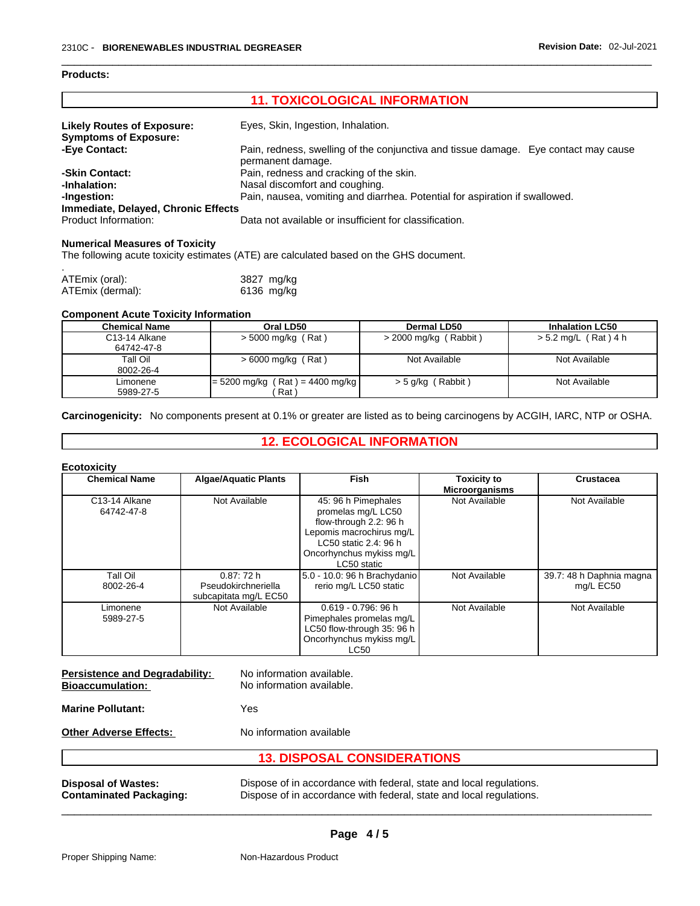#### **Products:**

Г

| <b>11. TOXICOLOGICAL INFORMATION</b>                              |                                                                                                          |  |
|-------------------------------------------------------------------|----------------------------------------------------------------------------------------------------------|--|
| <b>Likely Routes of Exposure:</b><br><b>Symptoms of Exposure:</b> | Eyes, Skin, Ingestion, Inhalation.                                                                       |  |
| -Eye Contact:                                                     | Pain, redness, swelling of the conjunctiva and tissue damage. Eye contact may cause<br>permanent damage. |  |
| -Skin Contact:                                                    | Pain, redness and cracking of the skin.                                                                  |  |
| -Inhalation:                                                      | Nasal discomfort and coughing.                                                                           |  |
| -Ingestion:                                                       | Pain, nausea, vomiting and diarrhea. Potential for aspiration if swallowed.                              |  |
| Immediate, Delayed, Chronic Effects                               |                                                                                                          |  |
| Product Information:                                              | Data not available or insufficient for classification.                                                   |  |

#### **Numerical Measures of Toxicity**

The following acute toxicity estimates (ATE) are calculated based on the GHS document.

| ATEmix (oral):   | 3827 mg/kg |
|------------------|------------|
| ATEmix (dermal): | 6136 mg/kg |

#### **Component Acute Toxicity Information**

| <b>Chemical Name</b>                     | Oral LD50                                             | Dermal LD50           | <b>Inhalation LC50</b> |
|------------------------------------------|-------------------------------------------------------|-----------------------|------------------------|
| C <sub>13</sub> -14 Alkane<br>64742-47-8 | > 5000 mg/kg (Rat)                                    | > 2000 mg/kg (Rabbit) | > 5.2 mg/L (Rat) 4 h   |
| Tall Oil<br>8002-26-4                    | $> 6000$ mg/kg (Rat)                                  | Not Available         | Not Available          |
| Limonene<br>5989-27-5                    | $= 5200$ mg/kg (Rat) = 4400 mg/kg<br>Rat <sup>'</sup> | > 5 g/kg (Rabbit)     | Not Available          |

**Carcinogenicity:** No components present at 0.1% or greater arelisted as to being carcinogens by ACGIH, IARC, NTP or OSHA.

# **12. ECOLOGICAL INFORMATION**

#### **Ecotoxicity**

| <b>Chemical Name</b>                     | <b>Algae/Aquatic Plants</b>                               | <b>Fish</b>                                                                                                                                                         | <b>Toxicity to</b><br><b>Microorganisms</b> | <b>Crustacea</b>                      |
|------------------------------------------|-----------------------------------------------------------|---------------------------------------------------------------------------------------------------------------------------------------------------------------------|---------------------------------------------|---------------------------------------|
| C <sub>13</sub> -14 Alkane<br>64742-47-8 | Not Available                                             | 45: 96 h Pimephales<br>promelas mg/L LC50<br>flow-through 2.2: 96 h<br>Lepomis macrochirus mg/L<br>LC50 static 2.4: 96 h<br>Oncorhynchus mykiss mg/L<br>LC50 static | Not Available                               | Not Available                         |
| Tall Oil<br>8002-26-4                    | 0.87:72 h<br>Pseudokirchneriella<br>subcapitata mg/L EC50 | 5.0 - 10.0: 96 h Brachydanio<br>rerio mg/L LC50 static                                                                                                              | Not Available                               | 39.7: 48 h Daphnia magna<br>mg/L EC50 |
| Limonene<br>5989-27-5                    | Not Available                                             | $0.619 - 0.796$ : 96 h<br>Pimephales promelas mg/L<br>LC50 flow-through 35: 96 h<br>Oncorhynchus mykiss mg/L<br><b>LC50</b>                                         | Not Available                               | Not Available                         |

| <b>Persistence and Degradability:</b><br><b>Bioaccumulation:</b> | No information available.<br>No information available.                                                                                     |
|------------------------------------------------------------------|--------------------------------------------------------------------------------------------------------------------------------------------|
| <b>Marine Pollutant:</b>                                         | Yes                                                                                                                                        |
| <b>Other Adverse Effects:</b>                                    | No information available                                                                                                                   |
|                                                                  | <b>13. DISPOSAL CONSIDERATIONS</b>                                                                                                         |
| <b>Disposal of Wastes:</b><br><b>Contaminated Packaging:</b>     | Dispose of in accordance with federal, state and local regulations.<br>Dispose of in accordance with federal, state and local regulations. |